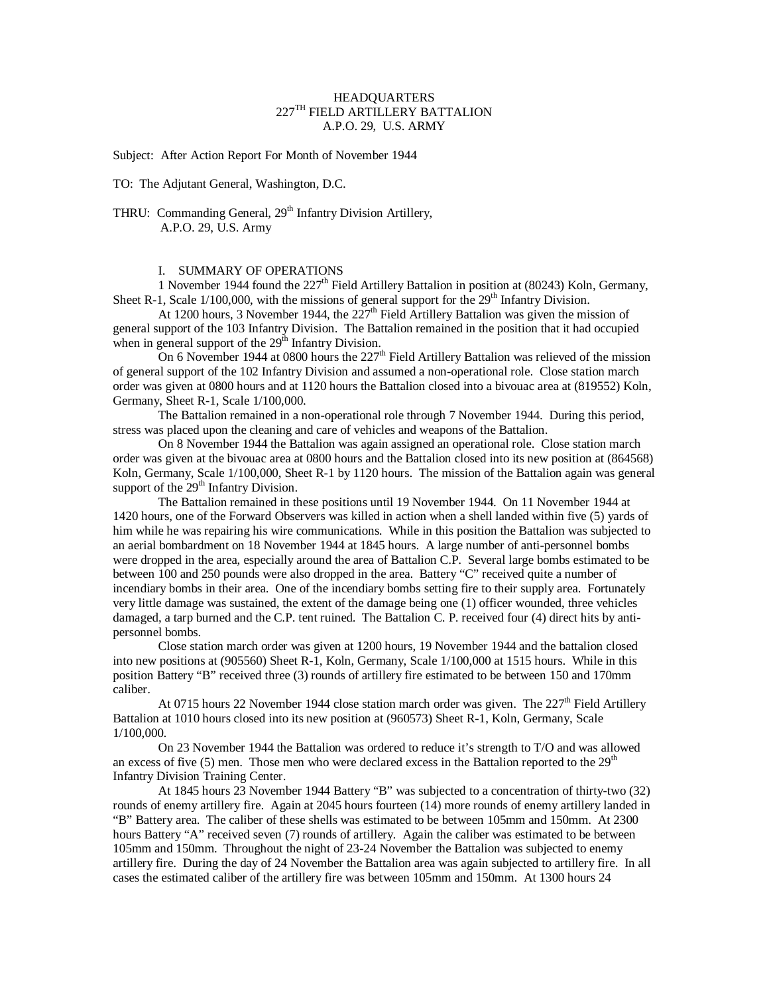## **HEADQUARTERS** 227TH FIELD ARTILLERY BATTALION A.P.O. 29, U.S. ARMY

Subject: After Action Report For Month of November 1944

TO: The Adjutant General, Washington, D.C.

THRU: Commanding General, 29<sup>th</sup> Infantry Division Artillery, A.P.O. 29, U.S. Army

# I. SUMMARY OF OPERATIONS

1 November 1944 found the  $227<sup>th</sup>$  Field Artillery Battalion in position at (80243) Koln, Germany, Sheet R-1, Scale  $1/100,000$ , with the missions of general support for the  $29<sup>th</sup>$  Infantry Division.

At 1200 hours, 3 November 1944, the  $227<sup>th</sup>$  Field Artillery Battalion was given the mission of general support of the 103 Infantry Division. The Battalion remained in the position that it had occupied when in general support of the  $29<sup>th</sup>$  Infantry Division.

On 6 November 1944 at 0800 hours the 227<sup>th</sup> Field Artillery Battalion was relieved of the mission of general support of the 102 Infantry Division and assumed a non-operational role. Close station march order was given at 0800 hours and at 1120 hours the Battalion closed into a bivouac area at (819552) Koln, Germany, Sheet R-1, Scale 1/100,000.

The Battalion remained in a non-operational role through 7 November 1944. During this period, stress was placed upon the cleaning and care of vehicles and weapons of the Battalion.

On 8 November 1944 the Battalion was again assigned an operational role. Close station march order was given at the bivouac area at 0800 hours and the Battalion closed into its new position at (864568) Koln, Germany, Scale 1/100,000, Sheet R-1 by 1120 hours. The mission of the Battalion again was general support of the  $29<sup>th</sup>$  Infantry Division.

The Battalion remained in these positions until 19 November 1944. On 11 November 1944 at 1420 hours, one of the Forward Observers was killed in action when a shell landed within five (5) yards of him while he was repairing his wire communications. While in this position the Battalion was subjected to an aerial bombardment on 18 November 1944 at 1845 hours. A large number of anti-personnel bombs were dropped in the area, especially around the area of Battalion C.P. Several large bombs estimated to be between 100 and 250 pounds were also dropped in the area. Battery "C" received quite a number of incendiary bombs in their area. One of the incendiary bombs setting fire to their supply area. Fortunately very little damage was sustained, the extent of the damage being one (1) officer wounded, three vehicles damaged, a tarp burned and the C.P. tent ruined. The Battalion C. P. received four (4) direct hits by antipersonnel bombs.

Close station march order was given at 1200 hours, 19 November 1944 and the battalion closed into new positions at (905560) Sheet R-1, Koln, Germany, Scale 1/100,000 at 1515 hours. While in this position Battery "B" received three (3) rounds of artillery fire estimated to be between 150 and 170mm caliber.

At 0715 hours 22 November 1944 close station march order was given. The  $227<sup>th</sup>$  Field Artillery Battalion at 1010 hours closed into its new position at (960573) Sheet R-1, Koln, Germany, Scale 1/100,000.

On 23 November 1944 the Battalion was ordered to reduce it's strength to T/O and was allowed an excess of five (5) men. Those men who were declared excess in the Battalion reported to the  $29<sup>th</sup>$ Infantry Division Training Center.

At 1845 hours 23 November 1944 Battery "B" was subjected to a concentration of thirty-two (32) rounds of enemy artillery fire. Again at 2045 hours fourteen (14) more rounds of enemy artillery landed in "B" Battery area. The caliber of these shells was estimated to be between 105mm and 150mm. At 2300 hours Battery "A" received seven (7) rounds of artillery. Again the caliber was estimated to be between 105mm and 150mm. Throughout the night of 23-24 November the Battalion was subjected to enemy artillery fire. During the day of 24 November the Battalion area was again subjected to artillery fire. In all cases the estimated caliber of the artillery fire was between 105mm and 150mm. At 1300 hours 24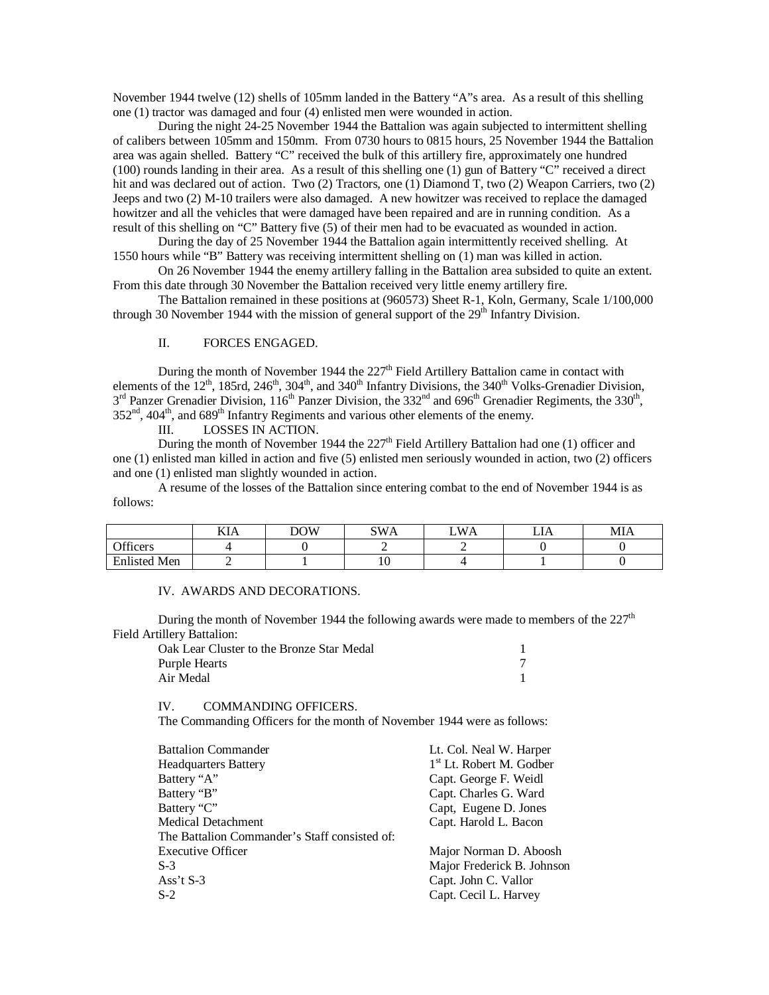November 1944 twelve (12) shells of 105mm landed in the Battery "A"s area. As a result of this shelling one (1) tractor was damaged and four (4) enlisted men were wounded in action.

During the night 24-25 November 1944 the Battalion was again subjected to intermittent shelling of calibers between 105mm and 150mm. From 0730 hours to 0815 hours, 25 November 1944 the Battalion area was again shelled. Battery "C" received the bulk of this artillery fire, approximately one hundred (100) rounds landing in their area. As a result of this shelling one (1) gun of Battery "C" received a direct hit and was declared out of action. Two (2) Tractors, one (1) Diamond T, two (2) Weapon Carriers, two (2) Jeeps and two (2) M-10 trailers were also damaged. A new howitzer was received to replace the damaged howitzer and all the vehicles that were damaged have been repaired and are in running condition. As a result of this shelling on "C" Battery five (5) of their men had to be evacuated as wounded in action.

During the day of 25 November 1944 the Battalion again intermittently received shelling. At 1550 hours while "B" Battery was receiving intermittent shelling on (1) man was killed in action.

On 26 November 1944 the enemy artillery falling in the Battalion area subsided to quite an extent. From this date through 30 November the Battalion received very little enemy artillery fire.

The Battalion remained in these positions at (960573) Sheet R-1, Koln, Germany, Scale 1/100,000 through 30 November 1944 with the mission of general support of the  $29<sup>th</sup>$  Infantry Division.

#### II. FORCES ENGAGED.

During the month of November 1944 the 227<sup>th</sup> Field Artillery Battalion came in contact with elements of the  $12^{th}$ , 185rd,  $246^{th}$ ,  $304^{th}$ , and  $340^{th}$  Infantry Divisions, the  $340^{th}$  Volks-Grenadier Division,  $3^{rd}$  Panzer Grenadier Division, 116<sup>th</sup> Panzer Division, the 332<sup>nd</sup> and 696<sup>th</sup> Grenadier Regiments, the 330<sup>th</sup>,  $352<sup>nd</sup>$ ,  $404<sup>th</sup>$ , and  $689<sup>th</sup>$  Infantry Regiments and various other elements of the enemy.<br>III. LOSSES IN ACTION.

LOSSES IN ACTION.

During the month of November 1944 the  $227<sup>th</sup>$  Field Artillery Battalion had one (1) officer and one (1) enlisted man killed in action and five (5) enlisted men seriously wounded in action, two (2) officers and one (1) enlisted man slightly wounded in action.

A resume of the losses of the Battalion since entering combat to the end of November 1944 is as follows:

|                         | <b>TTT</b><br>KIA | <b>DOW</b> | SW/<br>VА | WA<br>- | ΄ ΤΛ<br>⊷ | MIA |
|-------------------------|-------------------|------------|-----------|---------|-----------|-----|
| $\alpha$ cc<br>Officers |                   |            | -         |         |           |     |
| <b>Enlisted Men</b>     |                   |            | ιv        |         |           |     |

IV. AWARDS AND DECORATIONS.

During the month of November 1944 the following awards were made to members of the  $227<sup>th</sup>$ Field Artillery Battalion:

| Oak Lear Cluster to the Bronze Star Medal |  |
|-------------------------------------------|--|
| Purple Hearts                             |  |
| Air Medal                                 |  |

IV. COMMANDING OFFICERS.

The Commanding Officers for the month of November 1944 were as follows:

| <b>Battalion Commander</b>                    | Lt. Col. Neal W. Harper              |
|-----------------------------------------------|--------------------------------------|
| <b>Headquarters Battery</b>                   | 1 <sup>st</sup> Lt. Robert M. Godber |
| Battery "A"                                   | Capt. George F. Weidl                |
| Battery "B"                                   | Capt. Charles G. Ward                |
| Battery "C"                                   | Capt, Eugene D. Jones                |
| Medical Detachment                            | Capt. Harold L. Bacon                |
| The Battalion Commander's Staff consisted of: |                                      |
| <b>Executive Officer</b>                      | Major Norman D. Aboosh               |
| $S-3$                                         | Major Frederick B. Johnson           |
| Ass't $S-3$                                   | Capt. John C. Vallor                 |
| $S-2$                                         | Capt. Cecil L. Harvey                |
|                                               |                                      |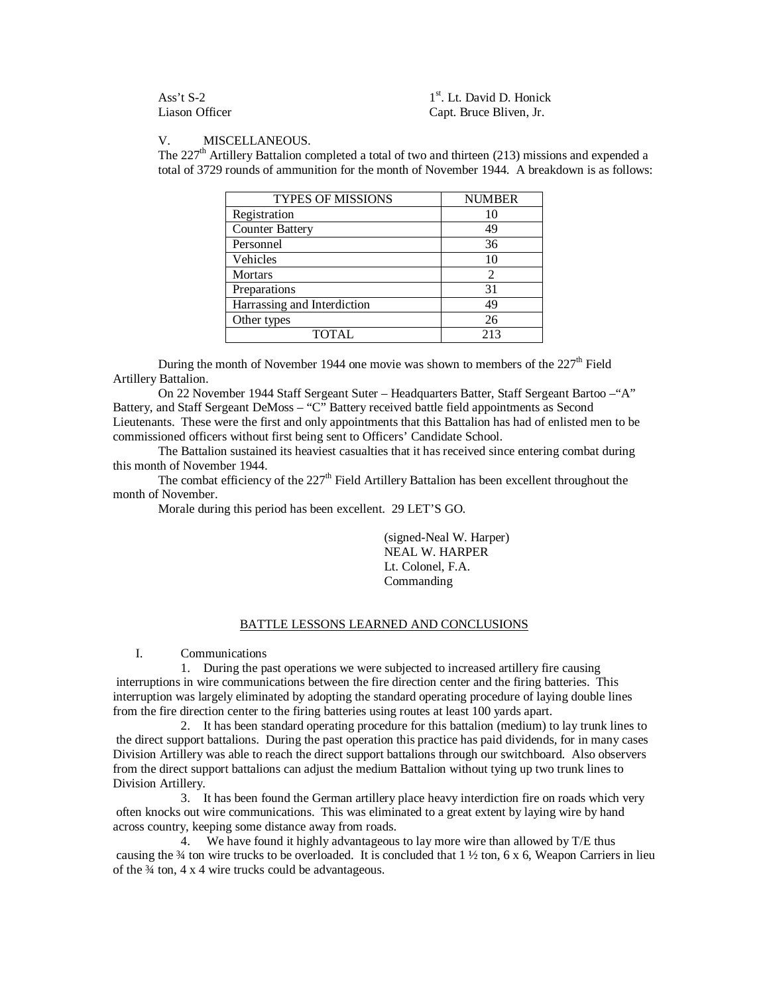Ass't S-2<br>Liason Officer

1<sup>st</sup>. Lt. David D. Honick Capt. Bruce Bliven, Jr.

### V. MISCELLANEOUS.

The  $227<sup>th</sup>$  Artillery Battalion completed a total of two and thirteen (213) missions and expended a total of 3729 rounds of ammunition for the month of November 1944. A breakdown is as follows:

| <b>TYPES OF MISSIONS</b>    | <b>NUMBER</b>  |
|-----------------------------|----------------|
| Registration                | 10             |
| <b>Counter Battery</b>      | 49             |
| Personnel                   | 36             |
| Vehicles                    | 10             |
| <b>Mortars</b>              | $\mathfrak{D}$ |
| Preparations                | 31             |
| Harrassing and Interdiction | 49             |
| Other types                 | 26             |
| <b>TOTAL</b>                | 213            |

During the month of November 1944 one movie was shown to members of the  $227<sup>th</sup>$  Field Artillery Battalion.

On 22 November 1944 Staff Sergeant Suter – Headquarters Batter, Staff Sergeant Bartoo –"A" Battery, and Staff Sergeant DeMoss – "C" Battery received battle field appointments as Second Lieutenants. These were the first and only appointments that this Battalion has had of enlisted men to be commissioned officers without first being sent to Officers' Candidate School.

The Battalion sustained its heaviest casualties that it has received since entering combat during this month of November 1944.

The combat efficiency of the  $227<sup>th</sup>$  Field Artillery Battalion has been excellent throughout the month of November.

Morale during this period has been excellent. 29 LET'S GO.

(signed-Neal W. Harper) NEAL W. HARPER Lt. Colonel, F.A. Commanding

### BATTLE LESSONS LEARNED AND CONCLUSIONS

I. Communications

1. During the past operations we were subjected to increased artillery fire causing interruptions in wire communications between the fire direction center and the firing batteries. This interruption was largely eliminated by adopting the standard operating procedure of laying double lines from the fire direction center to the firing batteries using routes at least 100 yards apart.

2. It has been standard operating procedure for this battalion (medium) to lay trunk lines to the direct support battalions. During the past operation this practice has paid dividends, for in many cases Division Artillery was able to reach the direct support battalions through our switchboard. Also observers from the direct support battalions can adjust the medium Battalion without tying up two trunk lines to Division Artillery.

3. It has been found the German artillery place heavy interdiction fire on roads which very often knocks out wire communications. This was eliminated to a great extent by laying wire by hand across country, keeping some distance away from roads.

4. We have found it highly advantageous to lay more wire than allowed by T/E thus causing the  $\frac{3}{4}$  ton wire trucks to be overloaded. It is concluded that  $1 \frac{1}{2}$  ton, 6 x 6, Weapon Carriers in lieu of the ¾ ton, 4 x 4 wire trucks could be advantageous.